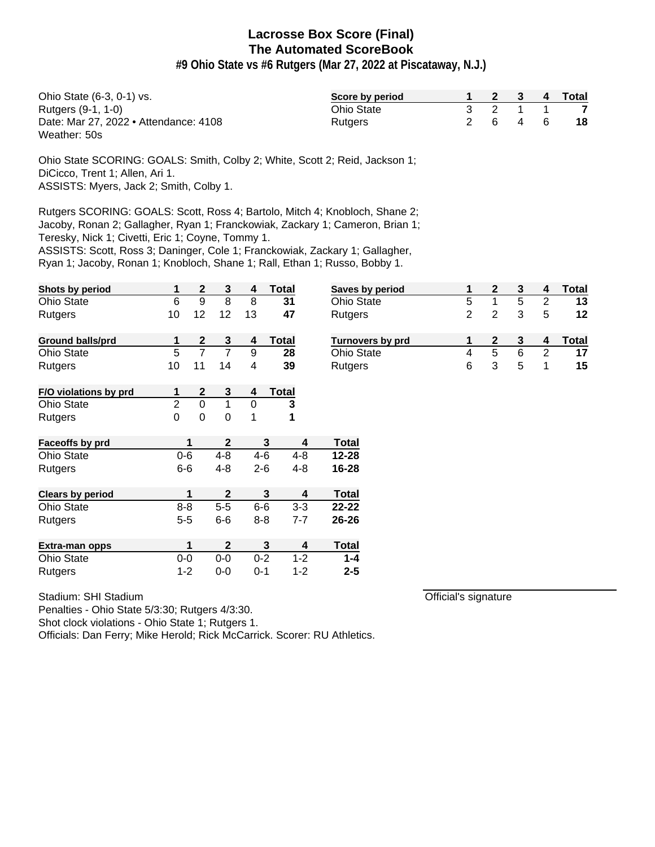**#9 Ohio State vs #6 Rutgers (Mar 27, 2022 at Piscataway, N.J.)**

| Ohio State (6-3, 0-1) vs.             | Score by period   |  |         | 2 3 4 Total |
|---------------------------------------|-------------------|--|---------|-------------|
| Rutgers (9-1, 1-0)                    | <b>Ohio State</b> |  | 3 2 1 1 |             |
| Date: Mar 27, 2022 • Attendance: 4108 | <b>Rutgers</b>    |  | 2 6 4 6 | -18         |
| Weather: 50s                          |                   |  |         |             |

Ohio State SCORING: GOALS: Smith, Colby 2; White, Scott 2; Reid, Jackson 1; DiCicco, Trent 1; Allen, Ari 1. ASSISTS: Myers, Jack 2; Smith, Colby 1.

Rutgers SCORING: GOALS: Scott, Ross 4; Bartolo, Mitch 4; Knobloch, Shane 2; Jacoby, Ronan 2; Gallagher, Ryan 1; Franckowiak, Zackary 1; Cameron, Brian 1;

Teresky, Nick 1; Civetti, Eric 1; Coyne, Tommy 1.

ASSISTS: Scott, Ross 3; Daninger, Cole 1; Franckowiak, Zackary 1; Gallagher,

Ryan 1; Jacoby, Ronan 1; Knobloch, Shane 1; Rall, Ethan 1; Russo, Bobby 1.

| Shots by period         | 1              | $\mathbf{2}$   | 3              | 4       | Total        | <b>Saves</b> |
|-------------------------|----------------|----------------|----------------|---------|--------------|--------------|
| <b>Ohio State</b>       | 6              | 9              | 8              | 8       | 31           | Ohio S       |
| Rutgers                 | 10             | 12             | 12             | 13      | 47           | Rutge        |
| <b>Ground balls/prd</b> | 1              | $\mathbf{2}$   | 3              | 4       | <b>Total</b> | Turno        |
| <b>Ohio State</b>       | 5              | $\overline{7}$ | $\overline{7}$ | 9       | 28           | Ohio S       |
| Rutgers                 | 10             | 11             | 14             | 4       | 39           | Rutge        |
| F/O violations by prd   | 1              | 2              | 3              | 4       | <b>Total</b> |              |
| <b>Ohio State</b>       | $\overline{2}$ | 0              | 1              | 0       | 3            |              |
| Rutgers                 | 0              | 0              | 0              | 1       | 1            |              |
| Faceoffs by prd         |                | 1              | 2              |         | 3<br>4       | <b>Total</b> |
| <b>Ohio State</b>       | $0 - 6$        |                | $4 - 8$        | $4 - 6$ | $4 - 8$      | 12-28        |
| Rutgers                 | $6-6$          |                | $4 - 8$        | $2-6$   | $4 - 8$      | 16-28        |
| <b>Clears by period</b> |                | 1              | $\mathbf{2}$   |         | 3<br>4       | <b>Total</b> |
| <b>Ohio State</b>       | $8 - 8$        |                | $5-5$          | $6-6$   | $3 - 3$      | 22-22        |
| Rutgers                 | $5 - 5$        |                | $6-6$          | $8 - 8$ | $7 - 7$      | 26-26        |
| Extra-man opps          |                | 1              | $\mathbf{2}$   |         | 3<br>4       | Total        |
| <b>Ohio State</b>       | $0-0$          |                | $0-0$          | $0 - 2$ | $1 - 2$      | $1 - 4$      |
| Rutgers                 | $1 - 2$        |                | $0-0$          | $0 - 1$ | $1 - 2$      | $2 - 5$      |

Stadium: SHI Stadium

Penalties - Ohio State 5/3:30; Rutgers 4/3:30.

Shot clock violations - Ohio State 1; Rutgers 1.

Officials: Dan Ferry; Mike Herold; Rick McCarrick. Scorer: RU Athletics.

| <b>Saves by period</b>  |   |   |   |   | Total |
|-------------------------|---|---|---|---|-------|
| <b>Ohio State</b>       | 5 |   | 5 | 2 | 13    |
| Rutgers                 | 2 | 2 | 3 | 5 | 12    |
| <b>Turnovers by prd</b> |   | 2 |   |   | Total |
| <b>Ohio State</b>       |   | 5 | 6 | 2 | 17    |
| Rutgers                 | 6 |   | 5 |   | 15    |

Official's signature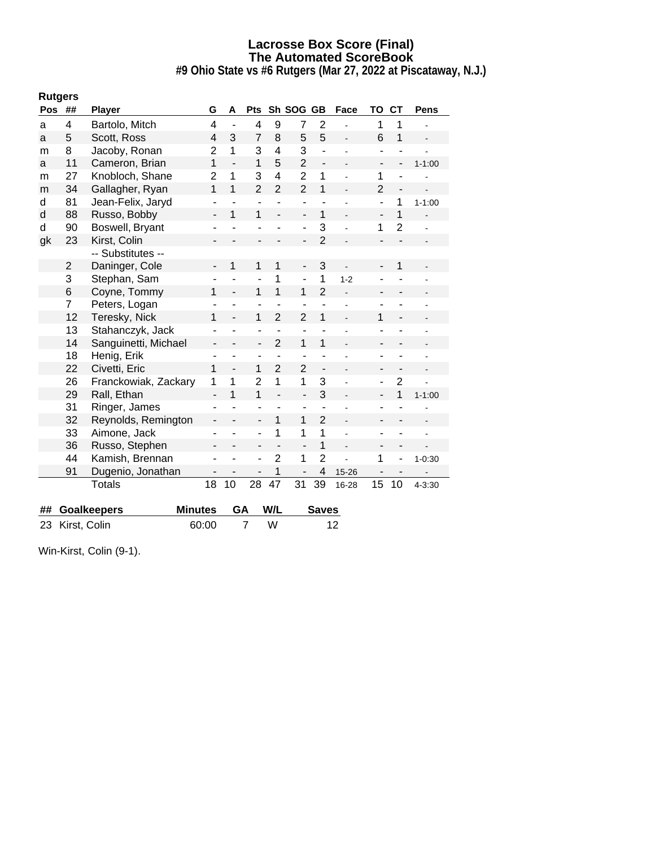**#9 Ohio State vs #6 Rutgers (Mar 27, 2022 at Piscataway, N.J.)**

| <b>Rutgers</b> |                |                                      |                              |                              |                          |                |                          |                              |                          |                              |                          |            |
|----------------|----------------|--------------------------------------|------------------------------|------------------------------|--------------------------|----------------|--------------------------|------------------------------|--------------------------|------------------------------|--------------------------|------------|
| <b>Pos</b>     | ##             | <b>Player</b>                        | G                            | A                            | Pts                      |                | Sh SOG                   | <b>GB</b>                    | Face                     | TO                           | <b>CT</b>                | Pens       |
| a              | 4              | Bartolo, Mitch                       | 4                            | ÷,                           | 4                        | 9              | $\overline{7}$           | $\overline{2}$               |                          | 1                            | 1                        |            |
| a              | 5              | Scott, Ross                          | 4                            | 3                            | 7                        | 8              | 5                        | 5                            |                          | 6                            | 1                        |            |
| m              | 8              | Jacoby, Ronan                        | $\overline{2}$               | 1                            | 3                        | 4              | 3                        | $\overline{\phantom{a}}$     |                          | $\blacksquare$               |                          |            |
| a              | 11             | Cameron, Brian                       | 1                            | $\frac{1}{2}$                | 1                        | 5              | $\overline{2}$           | $\qquad \qquad \blacksquare$ |                          | $\overline{\phantom{a}}$     | $\overline{\phantom{a}}$ | $1 - 1:00$ |
| m              | 27             | Knobloch, Shane                      | $\overline{2}$               | 1                            | 3                        | 4              | $\overline{2}$           | 1                            |                          | 1                            | ä,                       |            |
| m              | 34             | Gallagher, Ryan                      | $\overline{1}$               | $\overline{1}$               | $\overline{2}$           | $\overline{2}$ | $\overline{2}$           | 1                            |                          | $\overline{2}$               | $\frac{1}{2}$            |            |
| d              | 81             | Jean-Felix, Jaryd                    | $\overline{\phantom{a}}$     | $\overline{\phantom{a}}$     | $\blacksquare$           | ä,             | $\overline{\phantom{0}}$ | $\blacksquare$               | $\overline{a}$           | $\overline{\phantom{a}}$     | 1                        | $1 - 1:00$ |
| d              | 88             | Russo, Bobby                         |                              | 1                            | 1                        |                | $\overline{\phantom{0}}$ | 1                            |                          | $\qquad \qquad \blacksquare$ | $\overline{1}$           |            |
| d              | 90             | Boswell, Bryant                      | ٠                            | ÷,                           | ۰                        | ÷,             | ÷,                       | 3                            |                          | 1                            | $\overline{2}$           |            |
| gk             | 23             | Kirst, Colin                         | -                            |                              | -                        |                | $\overline{\phantom{0}}$ | $\overline{2}$               | $\overline{\phantom{a}}$ | $\qquad \qquad \blacksquare$ |                          |            |
|                |                | -- Substitutes --                    |                              |                              |                          |                |                          |                              |                          |                              |                          |            |
|                | $\overline{2}$ | Daninger, Cole                       | $\overline{a}$               | 1                            | 1                        | 1              | $\overline{a}$           | 3                            |                          | $\overline{a}$               | 1                        |            |
|                | 3              | Stephan, Sam                         | $\overline{\phantom{a}}$     |                              | ÷                        | 1              | $\overline{a}$           | 1                            | $1 - 2$                  |                              |                          |            |
|                | 6              | Coyne, Tommy                         | 1                            | $\qquad \qquad \blacksquare$ | 1                        | $\overline{1}$ | 1                        | $\overline{2}$               |                          | ٠                            | -                        |            |
|                | 7              | Peters, Logan                        | $\blacksquare$               | ÷,                           | L,                       | ä,             | L,                       | ä,                           |                          | $\blacksquare$               | ä,                       |            |
|                | 12             | Teresky, Nick                        | 1                            | $\overline{\phantom{a}}$     | 1                        | $\overline{2}$ | $\overline{2}$           | 1                            |                          | $\mathbf{1}$                 | $\overline{\phantom{a}}$ |            |
|                | 13             | Stahanczyk, Jack                     | ۰                            | ÷,                           | $\overline{a}$           | ÷,             | L,                       |                              |                          | $\overline{\phantom{a}}$     |                          |            |
|                | 14             | Sanguinetti, Michael                 | $\overline{\phantom{a}}$     |                              | ÷,                       | $\overline{2}$ | 1                        | 1                            |                          | $\overline{a}$               |                          |            |
|                | 18             | Henig, Erik                          | $\overline{\phantom{a}}$     | ۰                            | ۰                        | ä,             | ÷                        | ÷,                           |                          | $\overline{\phantom{a}}$     | ÷,                       |            |
|                | 22             | Civetti, Eric                        | 1                            | $\qquad \qquad \blacksquare$ | 1                        | $\overline{2}$ | $\overline{2}$           | $\overline{\phantom{a}}$     |                          | -                            | $\overline{\phantom{a}}$ |            |
|                | 26             | Franckowiak, Zackary                 | 1                            | 1                            | $\overline{2}$           | 1              | 1                        | 3                            |                          | $\overline{\phantom{0}}$     | $\overline{2}$           |            |
|                | 29             | Rall, Ethan                          | $\overline{\phantom{a}}$     | 1                            | 1                        | $\overline{a}$ | $\overline{a}$           | 3                            |                          | $\overline{\phantom{a}}$     | 1                        | $1 - 1:00$ |
|                | 31             | Ringer, James                        | ÷,                           |                              | ÷,                       |                | ÷                        |                              |                          | $\overline{\phantom{a}}$     |                          |            |
|                | 32             | Reynolds, Remington                  | $\qquad \qquad \blacksquare$ |                              | $\overline{a}$           | 1              | 1                        | $\overline{2}$               |                          | $\qquad \qquad \blacksquare$ | $\overline{\phantom{a}}$ |            |
|                | 33             | Aimone, Jack                         | ۰                            |                              | $\overline{a}$           | 1              | 1                        | $\mathbf{1}$                 |                          | ۳                            |                          |            |
|                | 36             | Russo, Stephen                       | $\qquad \qquad \blacksquare$ | ۰                            | $\overline{\phantom{0}}$ | $\overline{a}$ | $\overline{a}$           | 1                            | $\overline{\phantom{0}}$ | $\overline{\phantom{a}}$     | $\overline{a}$           |            |
|                | 44             | Kamish, Brennan                      | ÷,                           |                              | ÷                        | $\overline{2}$ | 1                        | $\overline{2}$               |                          | 1                            | ÷,                       | $1 - 0.30$ |
|                | 91             | Dugenio, Jonathan                    |                              |                              | $\overline{a}$           | 1              | $\overline{a}$           | $\overline{\mathbf{4}}$      | 15-26                    |                              |                          |            |
|                |                | <b>Totals</b>                        | 18                           | 10                           | 28                       | 47             | 31                       | 39                           | 16-28                    | 15                           | 10                       | 4-3:30     |
|                |                |                                      |                              |                              |                          |                |                          |                              |                          |                              |                          |            |
| ##             |                | <b>Goalkeepers</b><br><b>Minutes</b> |                              | GA                           |                          | W/L            |                          | <b>Saves</b>                 |                          |                              |                          |            |
| 23             | Kirst, Colin   |                                      | 60:00                        |                              | $\overline{7}$           | W              |                          |                              | 12                       |                              |                          |            |

Win-Kirst, Colin (9-1).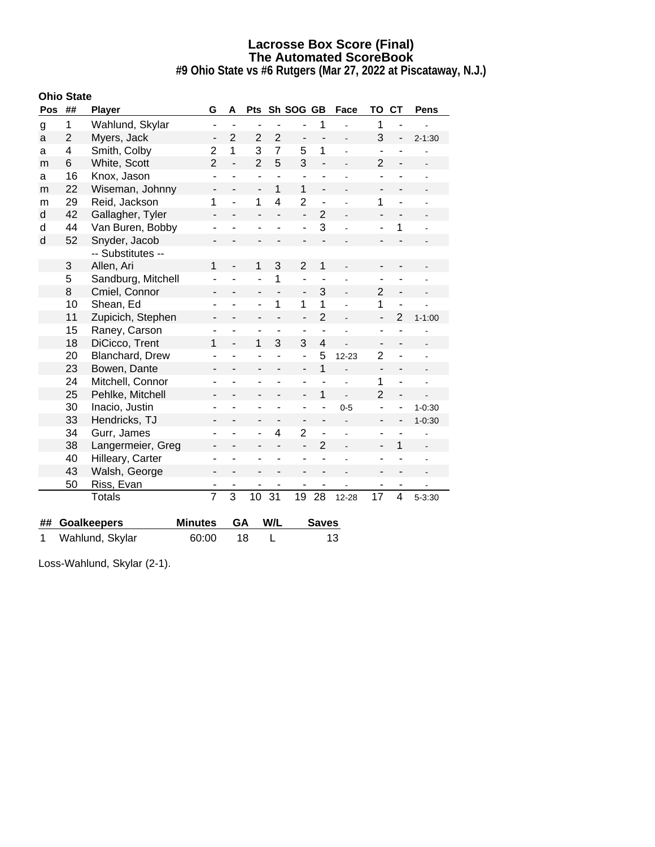**#9 Ohio State vs #6 Rutgers (Mar 27, 2022 at Piscataway, N.J.)**

|     | <b>Ohio State</b> |                    |                          |                |                          |                          |                          |                          |                |                          |                |            |
|-----|-------------------|--------------------|--------------------------|----------------|--------------------------|--------------------------|--------------------------|--------------------------|----------------|--------------------------|----------------|------------|
| Pos | ##                | <b>Player</b>      | G                        | Α              | <b>Pts</b>               |                          | Sh SOG GB                |                          | Face           | ΤО                       | <b>CT</b>      | Pens       |
| g   | 1                 | Wahlund, Skylar    | $\overline{\phantom{a}}$ | $\blacksquare$ |                          |                          |                          | 1                        |                | 1                        |                |            |
| a   | $\overline{2}$    | Myers, Jack        | -                        | $\overline{2}$ | $\overline{2}$           | $\overline{2}$           | -                        |                          |                | 3                        |                | $2 - 1:30$ |
| а   | 4                 | Smith, Colby       | $\overline{2}$           | $\mathbf 1$    | 3                        | $\overline{7}$           | 5                        | $\mathbf 1$              |                | $\blacksquare$           |                |            |
| m   | 6                 | White, Scott       | $\overline{2}$           | $\overline{a}$ | $\overline{2}$           | 5                        | 3                        | $\overline{a}$           |                | $\overline{2}$           |                |            |
| a   | 16                | Knox, Jason        | L,                       |                | ÷,                       | $\overline{a}$           | L,                       |                          |                |                          |                |            |
| m   | 22                | Wiseman, Johnny    | $\overline{a}$           |                | $\overline{\phantom{a}}$ | 1                        | $\mathbf{1}$             | L.                       |                |                          |                |            |
| m   | 29                | Reid, Jackson      | 1                        | $\overline{a}$ | 1                        | $\overline{4}$           | $\overline{2}$           | ÷,                       |                | 1                        | $\overline{a}$ |            |
| d   | 42                | Gallagher, Tyler   | $\overline{\phantom{0}}$ |                | ÷,                       |                          | $\overline{\phantom{0}}$ | $\overline{2}$           |                |                          |                |            |
| d   | 44                | Van Buren, Bobby   | -                        |                | ۰                        | ÷                        | ÷                        | 3                        |                |                          | 1              |            |
| d   | 52                | Snyder, Jacob      |                          |                |                          |                          |                          |                          |                |                          |                |            |
|     |                   | -- Substitutes --  |                          |                |                          |                          |                          |                          |                |                          |                |            |
|     | 3                 | Allen, Ari         | 1                        |                | 1                        | 3                        | $\overline{2}$           | 1                        |                |                          |                |            |
|     | 5                 | Sandburg, Mitchell |                          |                |                          | 1                        | ÷                        | ÷,                       |                |                          |                |            |
|     | 8                 | Cmiel, Connor      | -                        |                | ۰                        |                          | -                        | 3                        |                | 2                        | -              |            |
|     | 10                | Shean, Ed          | ÷,                       | L              | $\overline{a}$           | 1                        | 1                        | 1                        |                | 1                        | $\overline{a}$ |            |
|     | 11                | Zupicich, Stephen  |                          |                |                          |                          | $\overline{a}$           | $\overline{2}$           |                | $\overline{a}$           | $\overline{2}$ | $1 - 1:00$ |
|     | 15                | Raney, Carson      |                          |                |                          | ٠                        | ٠                        | $\overline{a}$           |                | ۰                        |                |            |
|     | 18                | DiCicco, Trent     | 1                        |                | 1                        | 3                        | 3                        | $\overline{4}$           |                |                          |                |            |
|     | 20                | Blanchard, Drew    | ÷,                       | L              | ÷                        |                          | ÷,                       | 5                        | $12 - 23$      | $\overline{2}$           | -              |            |
|     | 23                | Bowen, Dante       | -                        | -              | $\overline{\phantom{0}}$ | $\overline{a}$           | $\overline{\phantom{a}}$ | $\overline{1}$           |                | ÷,                       |                |            |
|     | 24                | Mitchell, Connor   |                          |                |                          |                          | ٠                        |                          |                | 1                        | $\overline{a}$ |            |
|     | 25                | Pehlke, Mitchell   | -                        |                | -                        | ÷,                       | $\overline{\phantom{0}}$ | 1                        | $\overline{a}$ | $\overline{2}$           |                |            |
|     | 30                | Inacio, Justin     | -                        |                |                          | ÷                        | ۰                        |                          | $0 - 5$        |                          | ÷              | $1 - 0:30$ |
|     | 33                | Hendricks, TJ      | -                        |                | -                        | $\overline{\phantom{0}}$ | -                        | $\overline{\phantom{0}}$ |                | $\overline{\phantom{0}}$ |                | $1 - 0:30$ |
|     | 34                | Gurr, James        | -                        |                | ۰                        | 4                        | $\overline{2}$           | $\overline{a}$           |                |                          |                |            |
|     | 38                | Langermeier, Greg  | $\overline{\phantom{0}}$ |                |                          |                          | $\overline{a}$           | $\overline{2}$           |                | $\overline{\phantom{0}}$ | 1              |            |
|     | 40                | Hilleary, Carter   | ۳                        |                |                          |                          | ä,                       |                          |                |                          |                |            |
|     | 43                | Walsh, George      | $\overline{\phantom{0}}$ |                |                          |                          |                          |                          |                |                          |                |            |
|     | 50                | Riss, Evan         |                          | ٠              | ٠                        |                          | ۰                        |                          |                |                          | ۰              |            |
|     |                   | <b>Totals</b>      | $\overline{7}$           | $\overline{3}$ | 10                       | 31                       | 19                       | 28                       | 12-28          | 17                       | 4              | $5 - 3:30$ |
|     |                   |                    |                          |                |                          |                          |                          |                          |                |                          |                |            |
| ##  |                   | <b>Goalkeepers</b> | <b>Minutes</b>           | GA             |                          | W/L                      |                          | <b>Saves</b>             |                |                          |                |            |

1 Wahlund, Skylar 60:00 18 L 13

Loss-Wahlund, Skylar (2-1).